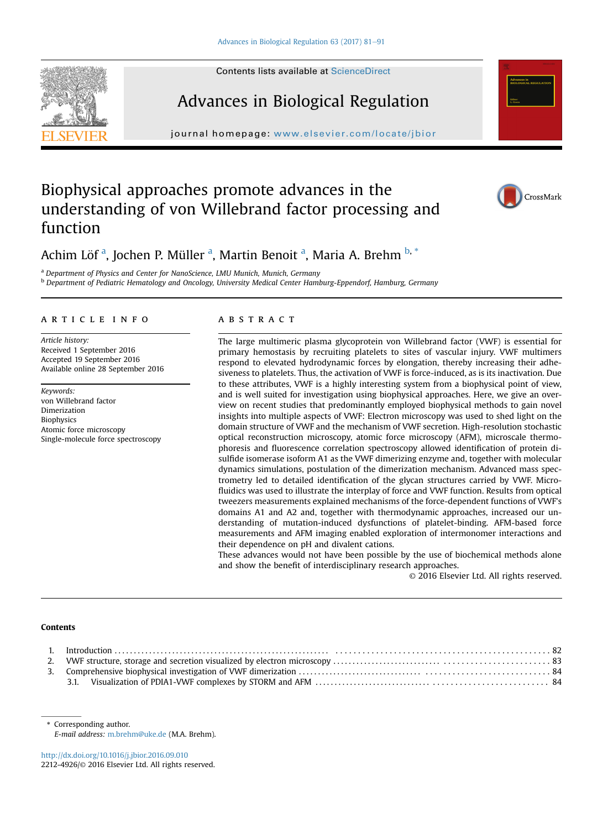



# Advances in Biological Regulation

journal homepage: <www.elsevier.com/locate/jbior>nal  $\mathcal{L}_{\mathcal{A}}$ 

## Biophysical approaches promote advances in the understanding of von Willebrand factor processing and function



### Achim Löf <sup>a</sup>, Jochen P. Müller <sup>a</sup>, Martin Benoit <sup>a</sup>, Maria A. Brehm <sup>b, \*</sup>

<sup>a</sup> Department of Physics and Center for NanoScience, LMU Munich, Munich, Germany

<sup>b</sup> Department of Pediatric Hematology and Oncology, University Medical Center Hamburg-Eppendorf, Hamburg, Germany

#### article info

Article history: Received 1 September 2016 Accepted 19 September 2016 Available online 28 September 2016

Keywords: von Willebrand factor Dimerization **Biophysics** Atomic force microscopy Single-molecule force spectroscopy

#### **ABSTRACT**

The large multimeric plasma glycoprotein von Willebrand factor (VWF) is essential for primary hemostasis by recruiting platelets to sites of vascular injury. VWF multimers respond to elevated hydrodynamic forces by elongation, thereby increasing their adhesiveness to platelets. Thus, the activation of VWF is force-induced, as is its inactivation. Due to these attributes, VWF is a highly interesting system from a biophysical point of view, and is well suited for investigation using biophysical approaches. Here, we give an overview on recent studies that predominantly employed biophysical methods to gain novel insights into multiple aspects of VWF: Electron microscopy was used to shed light on the domain structure of VWF and the mechanism of VWF secretion. High-resolution stochastic optical reconstruction microscopy, atomic force microscopy (AFM), microscale thermophoresis and fluorescence correlation spectroscopy allowed identification of protein disulfide isomerase isoform A1 as the VWF dimerizing enzyme and, together with molecular dynamics simulations, postulation of the dimerization mechanism. Advanced mass spectrometry led to detailed identification of the glycan structures carried by VWF. Microfluidics was used to illustrate the interplay of force and VWF function. Results from optical tweezers measurements explained mechanisms of the force-dependent functions of VWF's domains A1 and A2 and, together with thermodynamic approaches, increased our understanding of mutation-induced dysfunctions of platelet-binding. AFM-based force measurements and AFM imaging enabled exploration of intermonomer interactions and their dependence on pH and divalent cations.

These advances would not have been possible by the use of biochemical methods alone and show the benefit of interdisciplinary research approaches.

© 2016 Elsevier Ltd. All rights reserved.

#### Contents

<http://dx.doi.org/10.1016/j.jbior.2016.09.010> 2212-4926/© 2016 Elsevier Ltd. All rights reserved.

<sup>\*</sup> Corresponding author. E-mail address: [m.brehm@uke.de](mailto:m.brehm@uke.de) (M.A. Brehm).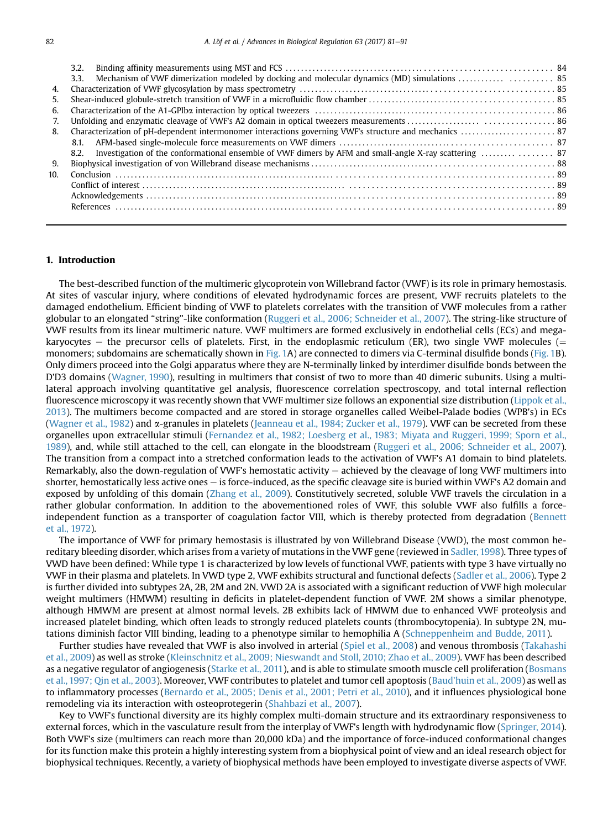|                 | 3.2. |  |
|-----------------|------|--|
|                 | 3.3. |  |
| 4.              |      |  |
| 5.              |      |  |
| 6.              |      |  |
| 7.              |      |  |
| 8.              |      |  |
|                 | 8.1. |  |
|                 | 8.2. |  |
| 9.              |      |  |
| 10 <sup>1</sup> |      |  |
|                 |      |  |
|                 |      |  |
|                 |      |  |
|                 |      |  |

#### 1. Introduction

The best-described function of the multimeric glycoprotein von Willebrand factor (VWF) is its role in primary hemostasis. At sites of vascular injury, where conditions of elevated hydrodynamic forces are present, VWF recruits platelets to the damaged endothelium. Efficient binding of VWF to platelets correlates with the transition of VWF molecules from a rather globular to an elongated "string"-like conformation [\(Ruggeri et al., 2006; Schneider et al., 2007\)](#page-10-0). The string-like structure of VWF results from its linear multimeric nature. VWF multimers are formed exclusively in endothelial cells (ECs) and megakaryocytes – the precursor cells of platelets. First, in the endoplasmic reticulum (ER), two single VWF molecules ( $=$ monomers; subdomains are schematically shown in [Fig. 1](#page-2-0)A) are connected to dimers via C-terminal disulfide bonds [\(Fig. 1B](#page-2-0)). Only dimers proceed into the Golgi apparatus where they are N-terminally linked by interdimer disulfide bonds between the D'D3 domains [\(Wagner, 1990\)](#page-10-0), resulting in multimers that consist of two to more than 40 dimeric subunits. Using a multilateral approach involving quantitative gel analysis, fluorescence correlation spectroscopy, and total internal reflection fluorescence microscopy it was recently shown that VWF multimer size follows an exponential size distribution ([Lippok et al.,](#page-9-0) [2013](#page-9-0)). The multimers become compacted and are stored in storage organelles called Weibel-Palade bodies (WPB's) in ECs [\(Wagner et al., 1982](#page-10-0)) and a-granules in platelets ([Jeanneau et al., 1984; Zucker et al., 1979](#page-9-0)). VWF can be secreted from these organelles upon extracellular stimuli [\(Fernandez et al., 1982; Loesberg et al., 1983; Miyata and Ruggeri, 1999; Sporn et al.,](#page-9-0) [1989\)](#page-9-0), and, while still attached to the cell, can elongate in the bloodstream [\(Ruggeri et al., 2006; Schneider et al., 2007](#page-10-0)). The transition from a compact into a stretched conformation leads to the activation of VWF's A1 domain to bind platelets. Remarkably, also the down-regulation of VWF's hemostatic activity - achieved by the cleavage of long VWF multimers into shorter, hemostatically less active ones - is force-induced, as the specific cleavage site is buried within VWF's A2 domain and exposed by unfolding of this domain [\(Zhang et al., 2009\)](#page-10-0). Constitutively secreted, soluble VWF travels the circulation in a rather globular conformation. In addition to the abovementioned roles of VWF, this soluble VWF also fulfills a forceindependent function as a transporter of coagulation factor VIII, which is thereby protected from degradation ([Bennett](#page-9-0) [et al., 1972](#page-9-0)).

The importance of VWF for primary hemostasis is illustrated by von Willebrand Disease (VWD), the most common hereditary bleeding disorder, which arises from a variety of mutations in the VWF gene (reviewed in [Sadler, 1998](#page-10-0)). Three types of VWD have been defined: While type 1 is characterized by low levels of functional VWF, patients with type 3 have virtually no VWF in their plasma and platelets. In VWD type 2, VWF exhibits structural and functional defects [\(Sadler et al., 2006](#page-10-0)). Type 2 is further divided into subtypes 2A, 2B, 2M and 2N. VWD 2A is associated with a significant reduction of VWF high molecular weight multimers (HMWM) resulting in deficits in platelet-dependent function of VWF. 2M shows a similar phenotype, although HMWM are present at almost normal levels. 2B exhibits lack of HMWM due to enhanced VWF proteolysis and increased platelet binding, which often leads to strongly reduced platelets counts (thrombocytopenia). In subtype 2N, mutations diminish factor VIII binding, leading to a phenotype similar to hemophilia A [\(Schneppenheim and Budde, 2011\)](#page-10-0).

Further studies have revealed that VWF is also involved in arterial [\(Spiel et al., 2008\)](#page-10-0) and venous thrombosis ([Takahashi](#page-10-0) [et al., 2009\)](#page-10-0) as well as stroke ([Kleinschnitz et al., 2009; Nieswandt and Stoll, 2010; Zhao et al., 2009](#page-9-0)). VWF has been described as a negative regulator of angiogenesis [\(Starke et al., 2011\)](#page-10-0), and is able to stimulate smooth muscle cell proliferation ([Bosmans](#page-9-0) [et al., 1997; Qin et al., 2003](#page-9-0)). Moreover, VWF contributes to platelet and tumor cell apoptosis ([Baud'huin et al., 2009](#page-8-0)) as well as to inflammatory processes [\(Bernardo et al., 2005; Denis et al., 2001; Petri et al., 2010\)](#page-9-0), and it influences physiological bone remodeling via its interaction with osteoprotegerin ([Shahbazi et al., 2007\)](#page-10-0).

Key to VWF's functional diversity are its highly complex multi-domain structure and its extraordinary responsiveness to external forces, which in the vasculature result from the interplay of VWF's length with hydrodynamic flow ([Springer, 2014](#page-10-0)). Both VWF's size (multimers can reach more than 20,000 kDa) and the importance of force-induced conformational changes for its function make this protein a highly interesting system from a biophysical point of view and an ideal research object for biophysical techniques. Recently, a variety of biophysical methods have been employed to investigate diverse aspects of VWF.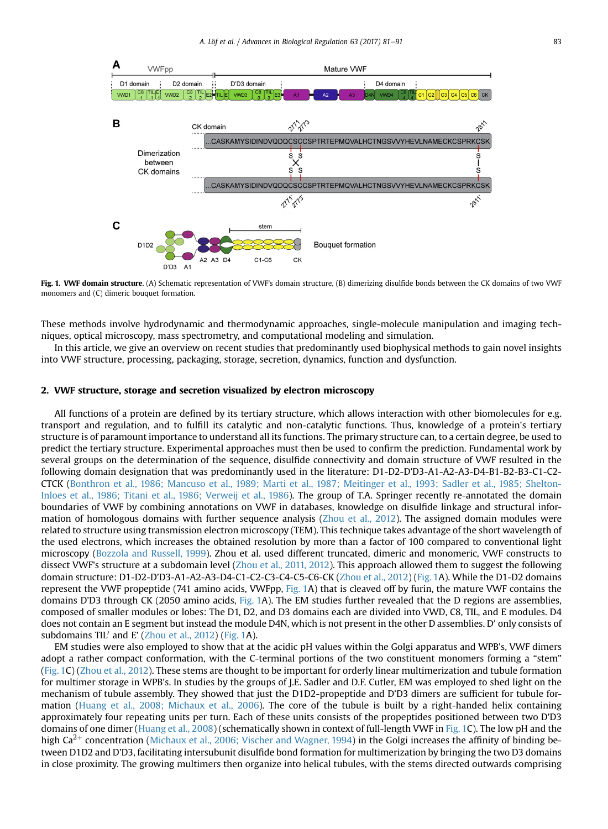<span id="page-2-0"></span>

Fig. 1. VWF domain structure. (A) Schematic representation of VWF's domain structure, (B) dimerizing disulfide bonds between the CK domains of two VWF monomers and (C) dimeric bouquet formation.

These methods involve hydrodynamic and thermodynamic approaches, single-molecule manipulation and imaging techniques, optical microscopy, mass spectrometry, and computational modeling and simulation.

In this article, we give an overview on recent studies that predominantly used biophysical methods to gain novel insights into VWF structure, processing, packaging, storage, secretion, dynamics, function and dysfunction.

#### 2. VWF structure, storage and secretion visualized by electron microscopy

All functions of a protein are defined by its tertiary structure, which allows interaction with other biomolecules for e.g. transport and regulation, and to fulfill its catalytic and non-catalytic functions. Thus, knowledge of a protein's tertiary structure is of paramount importance to understand all its functions. The primary structure can, to a certain degree, be used to predict the tertiary structure. Experimental approaches must then be used to confirm the prediction. Fundamental work by several groups on the determination of the sequence, disulfide connectivity and domain structure of VWF resulted in the following domain designation that was predominantly used in the literature: D1-D2-D'D3-A1-A2-A3-D4-B1-B2-B3-C1-C2- CTCK ([Bonthron et al., 1986; Mancuso et al., 1989; Marti et al., 1987; Meitinger et al., 1993; Sadler et al., 1985; Shelton-](#page-9-0)[Inloes et al., 1986; Titani et al., 1986; Verweij et al., 1986\)](#page-9-0). The group of T.A. Springer recently re-annotated the domain boundaries of VWF by combining annotations on VWF in databases, knowledge on disulfide linkage and structural information of homologous domains with further sequence analysis [\(Zhou et al., 2012\)](#page-10-0). The assigned domain modules were related to structure using transmission electron microscopy (TEM). This technique takes advantage of the short wavelength of the used electrons, which increases the obtained resolution by more than a factor of 100 compared to conventional light microscopy [\(Bozzola and Russell, 1999](#page-9-0)). Zhou et al. used different truncated, dimeric and monomeric, VWF constructs to dissect VWF's structure at a subdomain level [\(Zhou et al., 2011, 2012](#page-10-0)). This approach allowed them to suggest the following domain structure: D1-D2-D'D3-A1-A2-A3-D4-C1-C2-C3-C4-C5-C6-CK [\(Zhou et al., 2012\)](#page-10-0) (Fig. 1A). While the D1-D2 domains represent the VWF propeptide (741 amino acids, VWFpp, Fig. 1A) that is cleaved off by furin, the mature VWF contains the domains D'D3 through CK (2050 amino acids, Fig. 1A). The EM studies further revealed that the D regions are assemblies, composed of smaller modules or lobes: The D1, D2, and D3 domains each are divided into VWD, C8, TIL, and E modules. D4 does not contain an E segment but instead the module D4N, which is not present in the other D assemblies. D' only consists of subdomains TIL' and E' [\(Zhou et al., 2012](#page-10-0)) (Fig. 1A).

EM studies were also employed to show that at the acidic pH values within the Golgi apparatus and WPB's, VWF dimers adopt a rather compact conformation, with the C-terminal portions of the two constituent monomers forming a "stem" (Fig. 1C) ([Zhou et al., 2012](#page-10-0)). These stems are thought to be important for orderly linear multimerization and tubule formation for multimer storage in WPB's. In studies by the groups of J.E. Sadler and D.F. Cutler, EM was employed to shed light on the mechanism of tubule assembly. They showed that just the D1D2-propeptide and D'D3 dimers are sufficient for tubule formation ([Huang et al., 2008; Michaux et al., 2006\)](#page-9-0). The core of the tubule is built by a right-handed helix containing approximately four repeating units per turn. Each of these units consists of the propeptides positioned between two D'D3 domains of one dimer ([Huang et al., 2008](#page-9-0)) (schematically shown in context of full-length VWF in Fig. 1C). The low pH and the high  $Ca^{2+}$  concentration [\(Michaux et al., 2006; Vischer and Wagner, 1994](#page-9-0)) in the Golgi increases the affinity of binding between D1D2 and D'D3, facilitating intersubunit disulfide bond formation for multimerization by bringing the two D3 domains in close proximity. The growing multimers then organize into helical tubules, with the stems directed outwards comprising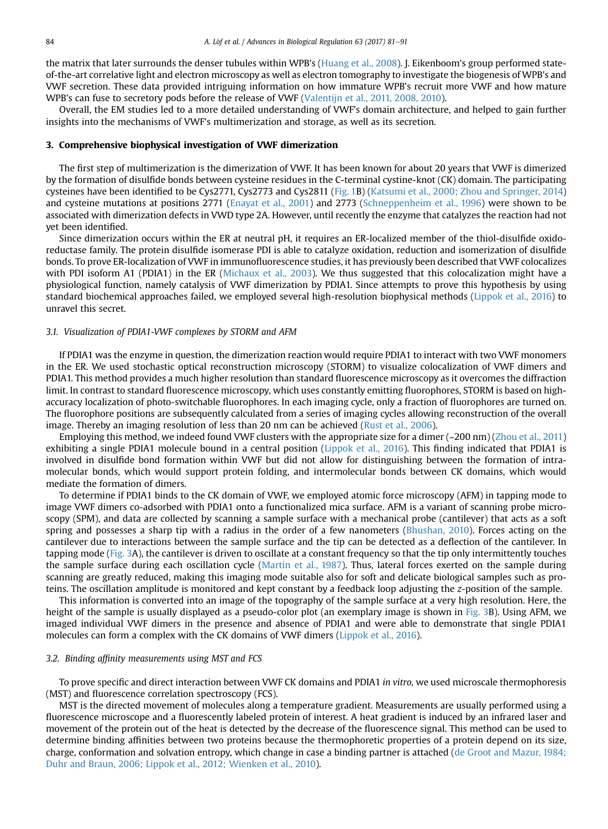the matrix that later surrounds the denser tubules within WPB's ([Huang et al., 2008\)](#page-9-0). J. Eikenboom's group performed stateof-the-art correlative light and electron microscopy as well as electron tomography to investigate the biogenesis of WPB's and VWF secretion. These data provided intriguing information on how immature WPB's recruit more VWF and how mature WPB's can fuse to secretory pods before the release of VWF ([Valentijn et al., 2011, 2008, 2010](#page-10-0)).

Overall, the EM studies led to a more detailed understanding of VWF's domain architecture, and helped to gain further insights into the mechanisms of VWF's multimerization and storage, as well as its secretion.

#### 3. Comprehensive biophysical investigation of VWF dimerization

The first step of multimerization is the dimerization of VWF. It has been known for about 20 years that VWF is dimerized by the formation of disulfide bonds between cysteine residues in the C-terminal cystine-knot (CK) domain. The participating cysteines have been identified to be Cys2771, Cys2773 and Cys2811 ([Fig. 1](#page-2-0)B) [\(Katsumi et al., 2000; Zhou and Springer, 2014](#page-9-0)) and cysteine mutations at positions 2771 [\(Enayat et al., 2001](#page-9-0)) and 2773 [\(Schneppenheim et al., 1996](#page-10-0)) were shown to be associated with dimerization defects in VWD type 2A. However, until recently the enzyme that catalyzes the reaction had not yet been identified.

Since dimerization occurs within the ER at neutral pH, it requires an ER-localized member of the thiol-disulfide oxidoreductase family. The protein disulfide isomerase PDI is able to catalyze oxidation, reduction and isomerization of disulfide bonds. To prove ER-localization of VWF in immunofluorescence studies, it has previously been described that VWF colocalizes with PDI isoform A1 (PDIA1) in the ER ([Michaux et al., 2003](#page-9-0)). We thus suggested that this colocalization might have a physiological function, namely catalysis of VWF dimerization by PDIA1. Since attempts to prove this hypothesis by using standard biochemical approaches failed, we employed several high-resolution biophysical methods ([Lippok et al., 2016](#page-9-0)) to unravel this secret.

#### 3.1. Visualization of PDIA1-VWF complexes by STORM and AFM

If PDIA1 was the enzyme in question, the dimerization reaction would require PDIA1 to interact with two VWF monomers in the ER. We used stochastic optical reconstruction microscopy (STORM) to visualize colocalization of VWF dimers and PDIA1. This method provides a much higher resolution than standard fluorescence microscopy as it overcomes the diffraction limit. In contrast to standard fluorescence microscopy, which uses constantly emitting fluorophores, STORM is based on highaccuracy localization of photo-switchable fluorophores. In each imaging cycle, only a fraction of fluorophores are turned on. The fluorophore positions are subsequently calculated from a series of imaging cycles allowing reconstruction of the overall image. Thereby an imaging resolution of less than 20 nm can be achieved [\(Rust et al., 2006](#page-10-0)).

Employing this method, we indeed found VWF clusters with the appropriate size for a dimer (~200 nm) ([Zhou et al., 2011](#page-10-0)) exhibiting a single PDIA1 molecule bound in a central position ([Lippok et al., 2016\)](#page-9-0). This finding indicated that PDIA1 is involved in disulfide bond formation within VWF but did not allow for distinguishing between the formation of intramolecular bonds, which would support protein folding, and intermolecular bonds between CK domains, which would mediate the formation of dimers.

To determine if PDIA1 binds to the CK domain of VWF, we employed atomic force microscopy (AFM) in tapping mode to image VWF dimers co-adsorbed with PDIA1 onto a functionalized mica surface. AFM is a variant of scanning probe microscopy (SPM), and data are collected by scanning a sample surface with a mechanical probe (cantilever) that acts as a soft spring and possesses a sharp tip with a radius in the order of a few nanometers [\(Bhushan, 2010](#page-9-0)). Forces acting on the cantilever due to interactions between the sample surface and the tip can be detected as a deflection of the cantilever. In tapping mode ([Fig. 3](#page-8-0)A), the cantilever is driven to oscillate at a constant frequency so that the tip only intermittently touches the sample surface during each oscillation cycle ([Martin et al., 1987](#page-9-0)). Thus, lateral forces exerted on the sample during scanning are greatly reduced, making this imaging mode suitable also for soft and delicate biological samples such as proteins. The oscillation amplitude is monitored and kept constant by a feedback loop adjusting the z-position of the sample.

This information is converted into an image of the topography of the sample surface at a very high resolution. Here, the height of the sample is usually displayed as a pseudo-color plot (an exemplary image is shown in [Fig. 3B](#page-8-0)). Using AFM, we imaged individual VWF dimers in the presence and absence of PDIA1 and were able to demonstrate that single PDIA1 molecules can form a complex with the CK domains of VWF dimers [\(Lippok et al., 2016](#page-9-0)).

#### 3.2. Binding affinity measurements using MST and FCS

To prove specific and direct interaction between VWF CK domains and PDIA1 in vitro, we used microscale thermophoresis (MST) and fluorescence correlation spectroscopy (FCS).

MST is the directed movement of molecules along a temperature gradient. Measurements are usually performed using a fluorescence microscope and a fluorescently labeled protein of interest. A heat gradient is induced by an infrared laser and movement of the protein out of the heat is detected by the decrease of the fluorescence signal. This method can be used to determine binding affinities between two proteins because the thermophoretic properties of a protein depend on its size, charge, conformation and solvation entropy, which change in case a binding partner is attached [\(de Groot and Mazur, 1984;](#page-9-0) [Duhr and Braun, 2006; Lippok et al., 2012; Wienken et al., 2010\)](#page-9-0).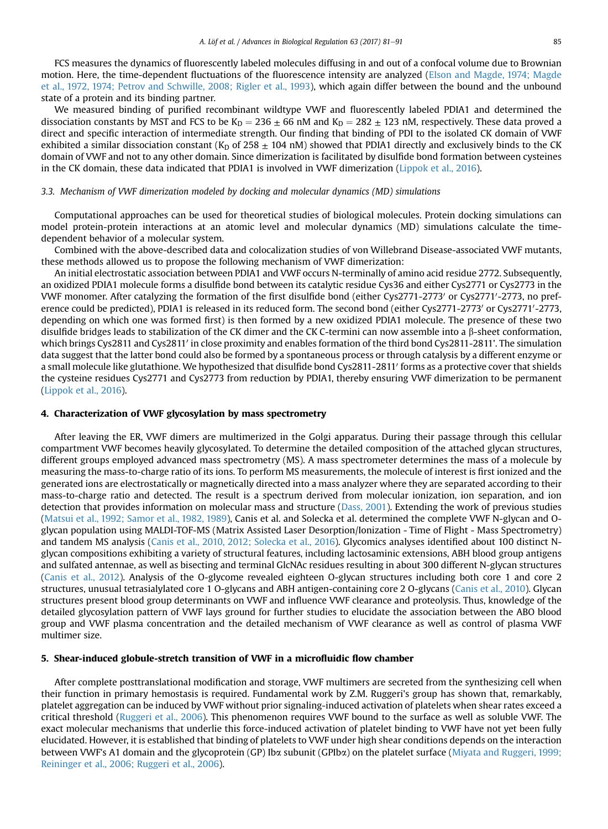FCS measures the dynamics of fluorescently labeled molecules diffusing in and out of a confocal volume due to Brownian motion. Here, the time-dependent fluctuations of the fluorescence intensity are analyzed [\(Elson and Magde, 1974; Magde](#page-9-0) [et al., 1972, 1974; Petrov and Schwille, 2008; Rigler et al., 1993\)](#page-9-0), which again differ between the bound and the unbound state of a protein and its binding partner.

We measured binding of purified recombinant wildtype VWF and fluorescently labeled PDIA1 and determined the dissociation constants by MST and FCS to be  $K_D = 236 \pm 66$  nM and  $K_D = 282 \pm 123$  nM, respectively. These data proved a direct and specific interaction of intermediate strength. Our finding that binding of PDI to the isolated CK domain of VWF exhibited a similar dissociation constant (K<sub>D</sub> of 258  $\pm$  104 nM) showed that PDIA1 directly and exclusively binds to the CK domain of VWF and not to any other domain. Since dimerization is facilitated by disulfide bond formation between cysteines in the CK domain, these data indicated that PDIA1 is involved in VWF dimerization ([Lippok et al., 2016\)](#page-9-0).

#### 3.3. Mechanism of VWF dimerization modeled by docking and molecular dynamics (MD) simulations

Computational approaches can be used for theoretical studies of biological molecules. Protein docking simulations can model protein-protein interactions at an atomic level and molecular dynamics (MD) simulations calculate the timedependent behavior of a molecular system.

Combined with the above-described data and colocalization studies of von Willebrand Disease-associated VWF mutants, these methods allowed us to propose the following mechanism of VWF dimerization:

An initial electrostatic association between PDIA1 and VWF occurs N-terminally of amino acid residue 2772. Subsequently, an oxidized PDIA1 molecule forms a disulfide bond between its catalytic residue Cys36 and either Cys2771 or Cys2773 in the VWF monomer. After catalyzing the formation of the first disulfide bond (either Cys2771-2773' or Cys2771'-2773, no preference could be predicted), PDIA1 is released in its reduced form. The second bond (either Cys2771-2773' or Cys2771'-2773, depending on which one was formed first) is then formed by a new oxidized PDIA1 molecule. The presence of these two disulfide bridges leads to stabilization of the CK dimer and the CK C-termini can now assemble into a b-sheet conformation, which brings Cys2811 and Cys2811' in close proximity and enables formation of the third bond Cys2811-2811'. The simulation data suggest that the latter bond could also be formed by a spontaneous process or through catalysis by a different enzyme or a small molecule like glutathione. We hypothesized that disulfide bond Cys2811-2811' forms as a protective cover that shields the cysteine residues Cys2771 and Cys2773 from reduction by PDIA1, thereby ensuring VWF dimerization to be permanent ([Lippok et al., 2016\)](#page-9-0).

#### 4. Characterization of VWF glycosylation by mass spectrometry

After leaving the ER, VWF dimers are multimerized in the Golgi apparatus. During their passage through this cellular compartment VWF becomes heavily glycosylated. To determine the detailed composition of the attached glycan structures, different groups employed advanced mass spectrometry (MS). A mass spectrometer determines the mass of a molecule by measuring the mass-to-charge ratio of its ions. To perform MS measurements, the molecule of interest is first ionized and the generated ions are electrostatically or magnetically directed into a mass analyzer where they are separated according to their mass-to-charge ratio and detected. The result is a spectrum derived from molecular ionization, ion separation, and ion detection that provides information on molecular mass and structure ([Dass, 2001](#page-9-0)). Extending the work of previous studies ([Matsui et al., 1992; Samor et al., 1982, 1989](#page-9-0)), Canis et al. and Solecka et al. determined the complete VWF N-glycan and Oglycan population using MALDI-TOF-MS (Matrix Assisted Laser Desorption/Ionization - Time of Flight - Mass Spectrometry) and tandem MS analysis [\(Canis et al., 2010, 2012; Solecka et al., 2016\)](#page-9-0). Glycomics analyses identified about 100 distinct Nglycan compositions exhibiting a variety of structural features, including lactosaminic extensions, ABH blood group antigens and sulfated antennae, as well as bisecting and terminal GlcNAc residues resulting in about 300 different N-glycan structures ([Canis et al., 2012](#page-9-0)). Analysis of the O-glycome revealed eighteen O-glycan structures including both core 1 and core 2 structures, unusual tetrasialylated core 1 O-glycans and ABH antigen-containing core 2 O-glycans ([Canis et al., 2010](#page-9-0)). Glycan structures present blood group determinants on VWF and influence VWF clearance and proteolysis. Thus, knowledge of the detailed glycosylation pattern of VWF lays ground for further studies to elucidate the association between the ABO blood group and VWF plasma concentration and the detailed mechanism of VWF clearance as well as control of plasma VWF multimer size.

#### 5. Shear-induced globule-stretch transition of VWF in a microfluidic flow chamber

After complete posttranslational modification and storage, VWF multimers are secreted from the synthesizing cell when their function in primary hemostasis is required. Fundamental work by Z.M. Ruggeri's group has shown that, remarkably, platelet aggregation can be induced by VWF without prior signaling-induced activation of platelets when shear rates exceed a critical threshold [\(Ruggeri et al., 2006](#page-10-0)). This phenomenon requires VWF bound to the surface as well as soluble VWF. The exact molecular mechanisms that underlie this force-induced activation of platelet binding to VWF have not yet been fully elucidated. However, it is established that binding of platelets to VWF under high shear conditions depends on the interaction between VWF's A1 domain and the glycoprotein (GP) Iba subunit (GPIba) on the platelet surface ([Miyata and Ruggeri, 1999;](#page-9-0) [Reininger et al., 2006; Ruggeri et al., 2006](#page-9-0)).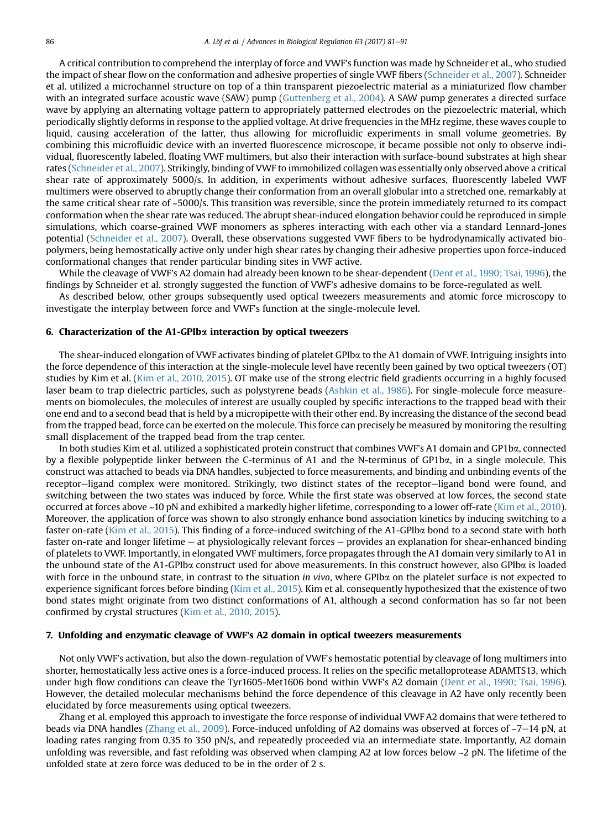A critical contribution to comprehend the interplay of force and VWF's function was made by Schneider et al., who studied the impact of shear flow on the conformation and adhesive properties of single VWF fibers [\(Schneider et al., 2007](#page-10-0)). Schneider et al. utilized a microchannel structure on top of a thin transparent piezoelectric material as a miniaturized flow chamber with an integrated surface acoustic wave (SAW) pump [\(Guttenberg et al., 2004\)](#page-9-0). A SAW pump generates a directed surface wave by applying an alternating voltage pattern to appropriately patterned electrodes on the piezoelectric material, which periodically slightly deforms in response to the applied voltage. At drive frequencies in the MHz regime, these waves couple to liquid, causing acceleration of the latter, thus allowing for microfluidic experiments in small volume geometries. By combining this microfluidic device with an inverted fluorescence microscope, it became possible not only to observe individual, fluorescently labeled, floating VWF multimers, but also their interaction with surface-bound substrates at high shear rates [\(Schneider et al., 2007\)](#page-10-0). Strikingly, binding of VWF to immobilized collagen was essentially only observed above a critical shear rate of approximately 5000/s. In addition, in experiments without adhesive surfaces, fluorescently labeled VWF multimers were observed to abruptly change their conformation from an overall globular into a stretched one, remarkably at the same critical shear rate of ~5000/s. This transition was reversible, since the protein immediately returned to its compact conformation when the shear rate was reduced. The abrupt shear-induced elongation behavior could be reproduced in simple simulations, which coarse-grained VWF monomers as spheres interacting with each other via a standard Lennard-Jones potential ([Schneider et al., 2007\)](#page-10-0). Overall, these observations suggested VWF fibers to be hydrodynamically activated biopolymers, being hemostatically active only under high shear rates by changing their adhesive properties upon force-induced conformational changes that render particular binding sites in VWF active.

While the cleavage of VWF's A2 domain had already been known to be shear-dependent ([Dent et al., 1990; Tsai, 1996](#page-9-0)), the findings by Schneider et al. strongly suggested the function of VWF's adhesive domains to be force-regulated as well.

As described below, other groups subsequently used optical tweezers measurements and atomic force microscopy to investigate the interplay between force and VWF's function at the single-molecule level.

#### 6. Characterization of the A1-GPIba interaction by optical tweezers

The shear-induced elongation of VWF activates binding of platelet GPIba to the A1 domain of VWF. Intriguing insights into the force dependence of this interaction at the single-molecule level have recently been gained by two optical tweezers (OT) studies by Kim et al. ([Kim et al., 2010, 2015](#page-9-0)). OT make use of the strong electric field gradients occurring in a highly focused laser beam to trap dielectric particles, such as polystyrene beads [\(Ashkin et al., 1986\)](#page-8-0). For single-molecule force measurements on biomolecules, the molecules of interest are usually coupled by specific interactions to the trapped bead with their one end and to a second bead that is held by a micropipette with their other end. By increasing the distance of the second bead from the trapped bead, force can be exerted on the molecule. This force can precisely be measured by monitoring the resulting small displacement of the trapped bead from the trap center.

In both studies Kim et al. utilized a sophisticated protein construct that combines VWF's A1 domain and GP1ba, connected by a flexible polypeptide linker between the C-terminus of A1 and the N-terminus of GP1ba, in a single molecule. This construct was attached to beads via DNA handles, subjected to force measurements, and binding and unbinding events of the receptor-ligand complex were monitored. Strikingly, two distinct states of the receptor-ligand bond were found, and switching between the two states was induced by force. While the first state was observed at low forces, the second state occurred at forces above ~10 pN and exhibited a markedly higher lifetime, corresponding to a lower off-rate ([Kim et al., 2010](#page-9-0)). Moreover, the application of force was shown to also strongly enhance bond association kinetics by inducing switching to a faster on-rate ([Kim et al., 2015\)](#page-9-0). This finding of a force-induced switching of the A1-GPIba bond to a second state with both faster on-rate and longer lifetime  $-$  at physiologically relevant forces  $-$  provides an explanation for shear-enhanced binding of platelets to VWF. Importantly, in elongated VWF multimers, force propagates through the A1 domain very similarly to A1 in the unbound state of the A1-GPIba construct used for above measurements. In this construct however, also GPIba is loaded with force in the unbound state, in contrast to the situation in vivo, where GPIba on the platelet surface is not expected to experience significant forces before binding [\(Kim et al., 2015\)](#page-9-0). Kim et al. consequently hypothesized that the existence of two bond states might originate from two distinct conformations of A1, although a second conformation has so far not been confirmed by crystal structures ([Kim et al., 2010, 2015](#page-9-0)).

#### 7. Unfolding and enzymatic cleavage of VWF's A2 domain in optical tweezers measurements

Not only VWF's activation, but also the down-regulation of VWF's hemostatic potential by cleavage of long multimers into shorter, hemostatically less active ones is a force-induced process. It relies on the specific metalloprotease ADAMTS13, which under high flow conditions can cleave the Tyr1605-Met1606 bond within VWF's A2 domain [\(Dent et al., 1990; Tsai, 1996](#page-9-0)). However, the detailed molecular mechanisms behind the force dependence of this cleavage in A2 have only recently been elucidated by force measurements using optical tweezers.

Zhang et al. employed this approach to investigate the force response of individual VWF A2 domains that were tethered to beads via DNA handles [\(Zhang et al., 2009\)](#page-10-0). Force-induced unfolding of A2 domains was observed at forces of  $\sim$ 7–14 pN, at loading rates ranging from 0.35 to 350 pN/s, and repeatedly proceeded via an intermediate state. Importantly, A2 domain unfolding was reversible, and fast refolding was observed when clamping A2 at low forces below  $\sim$ 2 pN. The lifetime of the unfolded state at zero force was deduced to be in the order of 2 s.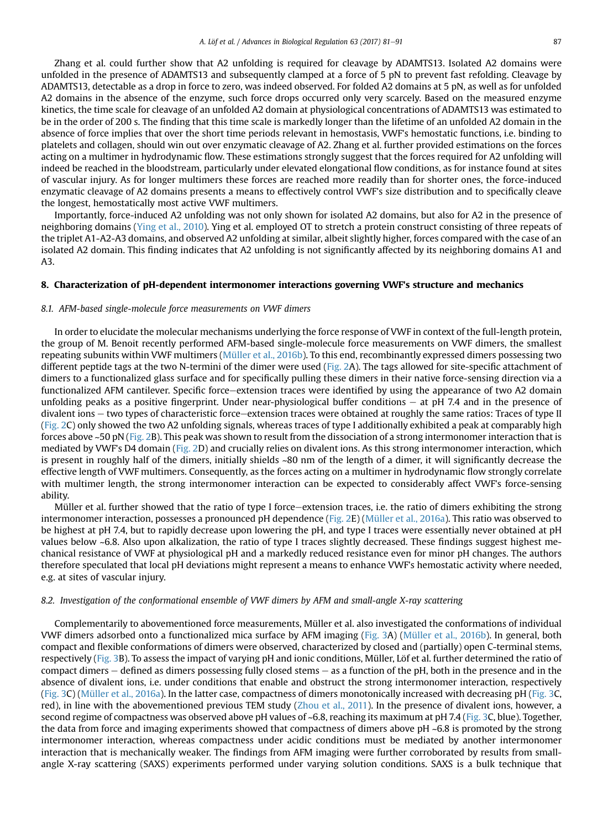Zhang et al. could further show that A2 unfolding is required for cleavage by ADAMTS13. Isolated A2 domains were unfolded in the presence of ADAMTS13 and subsequently clamped at a force of 5 pN to prevent fast refolding. Cleavage by ADAMTS13, detectable as a drop in force to zero, was indeed observed. For folded A2 domains at 5 pN, as well as for unfolded A2 domains in the absence of the enzyme, such force drops occurred only very scarcely. Based on the measured enzyme kinetics, the time scale for cleavage of an unfolded A2 domain at physiological concentrations of ADAMTS13 was estimated to be in the order of 200 s. The finding that this time scale is markedly longer than the lifetime of an unfolded A2 domain in the absence of force implies that over the short time periods relevant in hemostasis, VWF's hemostatic functions, i.e. binding to platelets and collagen, should win out over enzymatic cleavage of A2. Zhang et al. further provided estimations on the forces acting on a multimer in hydrodynamic flow. These estimations strongly suggest that the forces required for A2 unfolding will indeed be reached in the bloodstream, particularly under elevated elongational flow conditions, as for instance found at sites of vascular injury. As for longer multimers these forces are reached more readily than for shorter ones, the force-induced enzymatic cleavage of A2 domains presents a means to effectively control VWF's size distribution and to specifically cleave the longest, hemostatically most active VWF multimers.

Importantly, force-induced A2 unfolding was not only shown for isolated A2 domains, but also for A2 in the presence of neighboring domains ([Ying et al., 2010](#page-10-0)). Ying et al. employed OT to stretch a protein construct consisting of three repeats of the triplet A1-A2-A3 domains, and observed A2 unfolding at similar, albeit slightly higher, forces compared with the case of an isolated A2 domain. This finding indicates that A2 unfolding is not significantly affected by its neighboring domains A1 and A3.

#### 8. Characterization of pH-dependent intermonomer interactions governing VWF's structure and mechanics

#### 8.1. AFM-based single-molecule force measurements on VWF dimers

In order to elucidate the molecular mechanisms underlying the force response of VWF in context of the full-length protein, the group of M. Benoit recently performed AFM-based single-molecule force measurements on VWF dimers, the smallest repeating subunits within VWF multimers ([Müller et al., 2016b\)](#page-9-0). To this end, recombinantly expressed dimers possessing two different peptide tags at the two N-termini of the dimer were used ([Fig. 2A](#page-7-0)). The tags allowed for site-specific attachment of dimers to a functionalized glass surface and for specifically pulling these dimers in their native force-sensing direction via a functionalized AFM cantilever. Specific force-extension traces were identified by using the appearance of two A2 domain unfolding peaks as a positive fingerprint. Under near-physiological buffer conditions  $-$  at pH 7.4 and in the presence of divalent ions  $-$  two types of characteristic force $-$ extension traces were obtained at roughly the same ratios: Traces of type II ([Fig. 2](#page-7-0)C) only showed the two A2 unfolding signals, whereas traces of type I additionally exhibited a peak at comparably high forces above ~50 pN [\(Fig. 2](#page-7-0)B). This peak was shown to result from the dissociation of a strong intermonomer interaction that is mediated by VWF's D4 domain ([Fig. 2](#page-7-0)D) and crucially relies on divalent ions. As this strong intermonomer interaction, which is present in roughly half of the dimers, initially shields ~80 nm of the length of a dimer, it will significantly decrease the effective length of VWF multimers. Consequently, as the forces acting on a multimer in hydrodynamic flow strongly correlate with multimer length, the strong intermonomer interaction can be expected to considerably affect VWF's force-sensing ability.

Müller et al. further showed that the ratio of type I force–extension traces, i.e. the ratio of dimers exhibiting the strong intermonomer interaction, possesses a pronounced pH dependence ([Fig. 2E](#page-7-0)) [\(Müller et al., 2016a](#page-9-0)). This ratio was observed to be highest at pH 7.4, but to rapidly decrease upon lowering the pH, and type I traces were essentially never obtained at pH values below ~6.8. Also upon alkalization, the ratio of type I traces slightly decreased. These findings suggest highest mechanical resistance of VWF at physiological pH and a markedly reduced resistance even for minor pH changes. The authors therefore speculated that local pH deviations might represent a means to enhance VWF's hemostatic activity where needed, e.g. at sites of vascular injury.

#### 8.2. Investigation of the conformational ensemble of VWF dimers by AFM and small-angle X-ray scattering

Complementarily to abovementioned force measurements, Müller et al. also investigated the conformations of individual VWF dimers adsorbed onto a functionalized mica surface by AFM imaging ([Fig. 3](#page-8-0)A) [\(Müller et al., 2016b](#page-9-0)). In general, both compact and flexible conformations of dimers were observed, characterized by closed and (partially) open C-terminal stems, respectively ([Fig. 3](#page-8-0)B). To assess the impact of varying pH and ionic conditions, Müller, Löf et al. further determined the ratio of compact dimers  $-$  defined as dimers possessing fully closed stems  $-$  as a function of the pH, both in the presence and in the absence of divalent ions, i.e. under conditions that enable and obstruct the strong intermonomer interaction, respectively ([Fig. 3C](#page-8-0)) [\(Müller et al., 2016a\)](#page-9-0). In the latter case, compactness of dimers monotonically increased with decreasing pH ([Fig. 3](#page-8-0)C, red), in line with the abovementioned previous TEM study ([Zhou et al., 2011](#page-10-0)). In the presence of divalent ions, however, a second regime of compactness was observed above pH values of ~6.8, reaching its maximum at pH 7.4 ([Fig. 3C](#page-8-0), blue). Together, the data from force and imaging experiments showed that compactness of dimers above pH ~6.8 is promoted by the strong intermonomer interaction, whereas compactness under acidic conditions must be mediated by another intermonomer interaction that is mechanically weaker. The findings from AFM imaging were further corroborated by results from smallangle X-ray scattering (SAXS) experiments performed under varying solution conditions. SAXS is a bulk technique that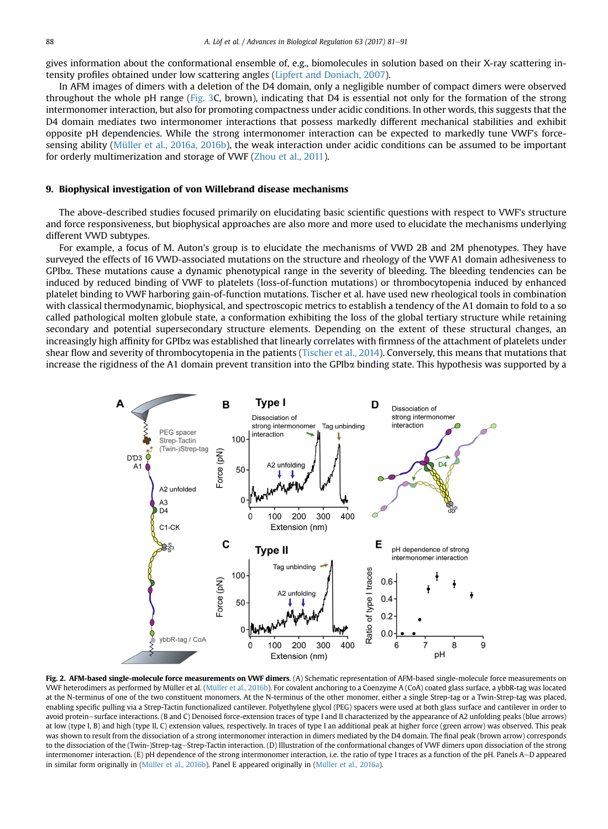<span id="page-7-0"></span>gives information about the conformational ensemble of, e.g., biomolecules in solution based on their X-ray scattering intensity profiles obtained under low scattering angles ([Lipfert and Doniach, 2007\)](#page-9-0).

In AFM images of dimers with a deletion of the D4 domain, only a negligible number of compact dimers were observed throughout the whole pH range ([Fig. 3](#page-8-0)C, brown), indicating that D4 is essential not only for the formation of the strong intermonomer interaction, but also for promoting compactness under acidic conditions. In other words, this suggests that the D4 domain mediates two intermonomer interactions that possess markedly different mechanical stabilities and exhibit opposite pH dependencies. While the strong intermonomer interaction can be expected to markedly tune VWF's forcesensing ability ([Müller et al., 2016a, 2016b\)](#page-9-0), the weak interaction under acidic conditions can be assumed to be important for orderly multimerization and storage of VWF ([Zhou et al., 2011](#page-10-0)).

#### 9. Biophysical investigation of von Willebrand disease mechanisms

The above-described studies focused primarily on elucidating basic scientific questions with respect to VWF's structure and force responsiveness, but biophysical approaches are also more and more used to elucidate the mechanisms underlying different VWD subtypes.

For example, a focus of M. Auton's group is to elucidate the mechanisms of VWD 2B and 2M phenotypes. They have surveyed the effects of 16 VWD-associated mutations on the structure and rheology of the VWF A1 domain adhesiveness to GPIba. These mutations cause a dynamic phenotypical range in the severity of bleeding. The bleeding tendencies can be induced by reduced binding of VWF to platelets (loss-of-function mutations) or thrombocytopenia induced by enhanced platelet binding to VWF harboring gain-of-function mutations. Tischer et al. have used new rheological tools in combination with classical thermodynamic, biophysical, and spectroscopic metrics to establish a tendency of the A1 domain to fold to a so called pathological molten globule state, a conformation exhibiting the loss of the global tertiary structure while retaining secondary and potential supersecondary structure elements. Depending on the extent of these structural changes, an increasingly high affinity for GPIba was established that linearly correlates with firmness of the attachment of platelets under shear flow and severity of thrombocytopenia in the patients ([Tischer et al., 2014\)](#page-10-0). Conversely, this means that mutations that increase the rigidness of the A1 domain prevent transition into the GPIba binding state. This hypothesis was supported by a



Fig. 2. AFM-based single-molecule force measurements on VWF dimers. (A) Schematic representation of AFM-based single-molecule force measurements on VWF heterodimers as performed by Müller et al. ([Müller et al., 2016b\)](#page-9-0). For covalent anchoring to a Coenzyme A (CoA) coated glass surface, a ybbR-tag was located at the N-terminus of one of the two constituent monomers. At the N-terminus of the other monomer, either a single Strep-tag or a Twin-Strep-tag was placed, enabling specific pulling via a Strep-Tactin functionalized cantilever. Polyethylene glycol (PEG) spacers were used at both glass surface and cantilever in order to avoid protein-surface interactions. (B and C) Denoised force-extension traces of type I and II characterized by the appearance of A2 unfolding peaks (blue arrows) at low (type I, B) and high (type II, C) extension values, respectively. In traces of type I an additional peak at higher force (green arrow) was observed. This peak was shown to result from the dissociation of a strong intermonomer interaction in dimers mediated by the D4 domain. The final peak (brown arrow) corresponds to the dissociation of the (Twin-)Strep-tag-Strep-Tactin interaction. (D) Illustration of the conformational changes of VWF dimers upon dissociation of the strong intermonomer interaction. (E) pH dependence of the strong intermonomer interaction, i.e. the ratio of type I traces as a function of the pH. Panels A-D appeared in similar form originally in [\(Müller et al., 2016b](#page-9-0)). Panel E appeared originally in ([Müller et al., 2016a\)](#page-9-0).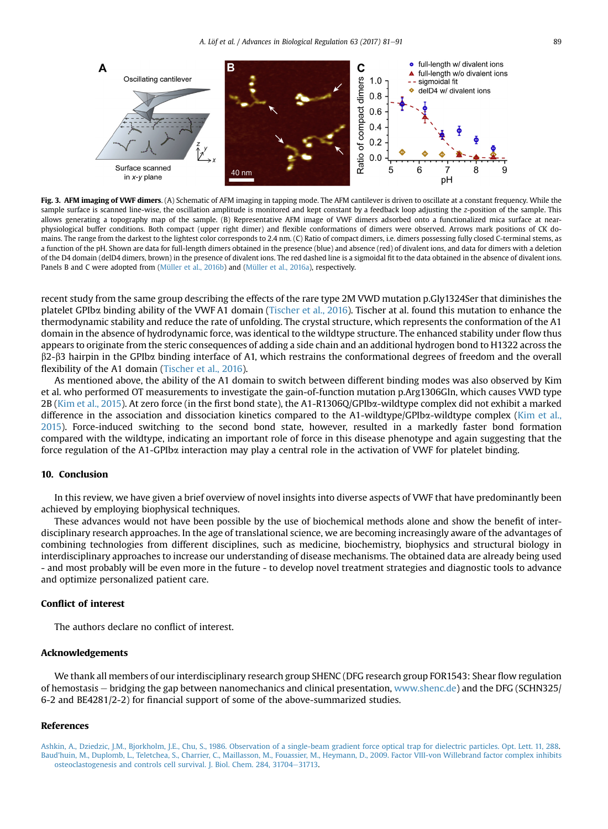<span id="page-8-0"></span>

Fig. 3. AFM imaging of VWF dimers. (A) Schematic of AFM imaging in tapping mode. The AFM cantilever is driven to oscillate at a constant frequency. While the sample surface is scanned line-wise, the oscillation amplitude is monitored and kept constant by a feedback loop adjusting the z-position of the sample. This allows generating a topography map of the sample. (B) Representative AFM image of VWF dimers adsorbed onto a functionalized mica surface at nearphysiological buffer conditions. Both compact (upper right dimer) and flexible conformations of dimers were observed. Arrows mark positions of CK domains. The range from the darkest to the lightest color corresponds to 2.4 nm. (C) Ratio of compact dimers, i.e. dimers possessing fully closed C-terminal stems, as a function of the pH. Shown are data for full-length dimers obtained in the presence (blue) and absence (red) of divalent ions, and data for dimers with a deletion of the D4 domain (delD4 dimers, brown) in the presence of divalent ions. The red dashed line is a sigmoidal fit to the data obtained in the absence of divalent ions. Panels B and C were adopted from [\(Müller et al., 2016b\)](#page-9-0) and [\(Müller et al., 2016a](#page-9-0)), respectively.

recent study from the same group describing the effects of the rare type 2M VWD mutation p.Gly1324Ser that diminishes the platelet GPIba binding ability of the VWF A1 domain [\(Tischer et al., 2016](#page-10-0)). Tischer at al. found this mutation to enhance the thermodynamic stability and reduce the rate of unfolding. The crystal structure, which represents the conformation of the A1 domain in the absence of hydrodynamic force, was identical to the wildtype structure. The enhanced stability under flow thus appears to originate from the steric consequences of adding a side chain and an additional hydrogen bond to H1322 across the b2-b3 hairpin in the GPIba binding interface of A1, which restrains the conformational degrees of freedom and the overall flexibility of the A1 domain ([Tischer et al., 2016](#page-10-0)).

As mentioned above, the ability of the A1 domain to switch between different binding modes was also observed by Kim et al. who performed OT measurements to investigate the gain-of-function mutation p.Arg1306Gln, which causes VWD type 2B ([Kim et al., 2015\)](#page-9-0). At zero force (in the first bond state), the A1-R1306Q/GPIba-wildtype complex did not exhibit a marked difference in the association and dissociation kinetics compared to the A1-wildtype/GPIba-wildtype complex ([Kim et al.,](#page-9-0) [2015](#page-9-0)). Force-induced switching to the second bond state, however, resulted in a markedly faster bond formation compared with the wildtype, indicating an important role of force in this disease phenotype and again suggesting that the force regulation of the A1-GPIba interaction may play a central role in the activation of VWF for platelet binding.

#### 10. Conclusion

In this review, we have given a brief overview of novel insights into diverse aspects of VWF that have predominantly been achieved by employing biophysical techniques.

These advances would not have been possible by the use of biochemical methods alone and show the benefit of interdisciplinary research approaches. In the age of translational science, we are becoming increasingly aware of the advantages of combining technologies from different disciplines, such as medicine, biochemistry, biophysics and structural biology in interdisciplinary approaches to increase our understanding of disease mechanisms. The obtained data are already being used - and most probably will be even more in the future - to develop novel treatment strategies and diagnostic tools to advance and optimize personalized patient care.

#### Conflict of interest

The authors declare no conflict of interest.

#### Acknowledgements

We thank all members of our interdisciplinary research group SHENC (DFG research group FOR1543: Shear flow regulation of hemostasis e bridging the gap between nanomechanics and clinical presentation, [www.shenc.de\)](http://www.shenc.de) and the DFG (SCHN325/ 6-2 and BE4281/2-2) for financial support of some of the above-summarized studies.

#### References

[Ashkin, A., Dziedzic, J.M., Bjorkholm, J.E., Chu, S., 1986. Observation of a single-beam gradient force optical trap for dielectric particles. Opt.](http://refhub.elsevier.com/S2212-4926(16)30033-1/sref1) Lett. 11, 288. [Baud'huin, M., Duplomb, L., Teletchea, S., Charrier, C., Maillasson, M., Fouassier, M., Heymann, D., 2009. Factor VIII-von Willebrand factor complex inhibits](http://refhub.elsevier.com/S2212-4926(16)30033-1/sref2) [osteoclastogenesis and controls cell survival. J. Biol. Chem. 284, 31704](http://refhub.elsevier.com/S2212-4926(16)30033-1/sref2)-[31713.](http://refhub.elsevier.com/S2212-4926(16)30033-1/sref2)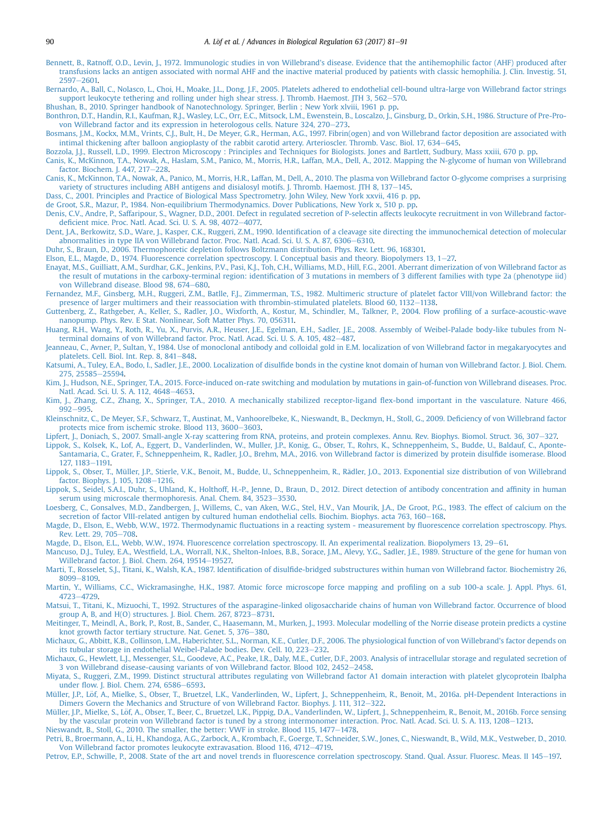- <span id="page-9-0"></span>[Bennett, B., Ratnoff, O.D., Levin, J., 1972. Immunologic studies in von Willebrand's disease. Evidence that the antihemophilic factor \(AHF\) produced after](http://refhub.elsevier.com/S2212-4926(16)30033-1/sref3) [transfusions lacks an antigen associated with normal AHF and the inactive material produced by patients with classic hemophilia. J. Clin. Investig.](http://refhub.elsevier.com/S2212-4926(16)30033-1/sref3) 51, [2597](http://refhub.elsevier.com/S2212-4926(16)30033-1/sref3)-2601
- [Bernardo, A., Ball, C., Nolasco, L., Choi, H., Moake, J.L., Dong, J.F., 2005. Platelets adhered to endothelial cell-bound ultra-large von Willebrand factor strings](http://refhub.elsevier.com/S2212-4926(16)30033-1/sref4) [support leukocyte tethering and rolling under high shear stress. J. Thromb. Haemost. JTH 3, 562](http://refhub.elsevier.com/S2212-4926(16)30033-1/sref4)-[570](http://refhub.elsevier.com/S2212-4926(16)30033-1/sref4).
- [Bhushan, B., 2010. Springer handbook of Nanotechnology. Springer, Berlin ; New York xlviii, 1961 p. pp.](http://refhub.elsevier.com/S2212-4926(16)30033-1/sref5)
- [Bonthron, D.T., Handin, R.I., Kaufman, R.J., Wasley, L.C., Orr, E.C., Mitsock, L.M., Ewenstein, B., Loscalzo, J., Ginsburg, D., Orkin, S.H., 1986. Structure of Pre-Pro](http://refhub.elsevier.com/S2212-4926(16)30033-1/sref6)[von Willebrand factor and its expression in heterologous cells. Nature 324, 270](http://refhub.elsevier.com/S2212-4926(16)30033-1/sref6)-[273.](http://refhub.elsevier.com/S2212-4926(16)30033-1/sref6)
- [Bosmans, J.M., Kockx, M.M., Vrints, C.J., Bult, H., De Meyer, G.R., Herman, A.G., 1997. Fibrin\(ogen\) and von Willebrand factor deposition are associated with](http://refhub.elsevier.com/S2212-4926(16)30033-1/sref7) [intimal thickening after balloon angioplasty of the rabbit carotid artery. Arterioscler. Thromb. Vasc. Biol. 17, 634](http://refhub.elsevier.com/S2212-4926(16)30033-1/sref7)–[645.](http://refhub.elsevier.com/S2212-4926(16)30033-1/sref7)
- [Bozzola, J.J., Russell, L.D., 1999. Electron Microscopy : Principles and Techniques for Biologists. Jones and Bartlett, Sudbury, Mass xxiii, 670 p.](http://refhub.elsevier.com/S2212-4926(16)30033-1/sref8) pp.
- [Canis, K., McKinnon, T.A., Nowak, A., Haslam, S.M., Panico, M., Morris, H.R., Laffan, M.A., Dell, A., 2012. Mapping the N-glycome of human von Willebrand](http://refhub.elsevier.com/S2212-4926(16)30033-1/sref9) [factor. Biochem. J. 447, 217](http://refhub.elsevier.com/S2212-4926(16)30033-1/sref9)-[228.](http://refhub.elsevier.com/S2212-4926(16)30033-1/sref9)
- [Canis, K., McKinnon, T.A., Nowak, A., Panico, M., Morris, H.R., Laffan, M., Dell, A., 2010. The plasma von Willebrand factor O-glycome comprises a surprising](http://refhub.elsevier.com/S2212-4926(16)30033-1/sref10) [variety of structures including ABH antigens and disialosyl motifs. J. Thromb. Haemost. JTH 8, 137](http://refhub.elsevier.com/S2212-4926(16)30033-1/sref10)–[145.](http://refhub.elsevier.com/S2212-4926(16)30033-1/sref10)

[Dass, C., 2001. Principles and Practice of Biological Mass Spectrometry. John Wiley, New York xxvii, 416 p. pp.](http://refhub.elsevier.com/S2212-4926(16)30033-1/sref11)

- [de Groot, S.R., Mazur, P., 1984. Non-equilibrium Thermodynamics. Dover Publications, New York x, 510 p. pp](http://refhub.elsevier.com/S2212-4926(16)30033-1/sref12).
- [Denis, C.V., Andre, P., Saffaripour, S., Wagner, D.D., 2001. Defect in regulated secretion of P-selectin affects leukocyte recruitment in von Willebrand factor](http://refhub.elsevier.com/S2212-4926(16)30033-1/sref13)defi[cient mice. Proc. Natl. Acad. Sci. U. S. A. 98, 4072](http://refhub.elsevier.com/S2212-4926(16)30033-1/sref13)-[4077.](http://refhub.elsevier.com/S2212-4926(16)30033-1/sref13)
- Dent, J.A., Berkowitz, S.D., Ware, J., Kasper, C.K., Ruggeri, Z.M., 1990. Identifi[cation of a cleavage site directing the immunochemical detection of molecular](http://refhub.elsevier.com/S2212-4926(16)30033-1/sref14) [abnormalities in type IIA von Willebrand factor. Proc. Natl. Acad. Sci. U. S. A. 87, 6306](http://refhub.elsevier.com/S2212-4926(16)30033-1/sref14)-[6310](http://refhub.elsevier.com/S2212-4926(16)30033-1/sref14).

[Duhr, S., Braun, D., 2006. Thermophoretic depletion follows Boltzmann distribution. Phys. Rev. Lett. 96, 168301.](http://refhub.elsevier.com/S2212-4926(16)30033-1/sref15)

[Elson, E.L., Magde, D., 1974. Fluorescence correlation spectroscopy. I. Conceptual basis and theory. Biopolymers 13, 1](http://refhub.elsevier.com/S2212-4926(16)30033-1/sref16)-[27.](http://refhub.elsevier.com/S2212-4926(16)30033-1/sref16)

- [Enayat, M.S., Guilliatt, A.M., Surdhar, G.K., Jenkins, P.V., Pasi, K.J., Toh, C.H., Williams, M.D., Hill, F.G., 2001. Aberrant dimerization of von Willebrand factor as](http://refhub.elsevier.com/S2212-4926(16)30033-1/sref86) the result of mutations in the carboxy-terminal region: identifi[cation of 3 mutations in members of 3 different families with type 2a \(phenotype iid\)](http://refhub.elsevier.com/S2212-4926(16)30033-1/sref86) [von Willebrand disease. Blood 98, 674](http://refhub.elsevier.com/S2212-4926(16)30033-1/sref86)-[680](http://refhub.elsevier.com/S2212-4926(16)30033-1/sref86).
- [Fernandez, M.F., Ginsberg, M.H., Ruggeri, Z.M., Batlle, F.J., Zimmerman, T.S., 1982. Multimeric structure of platelet factor VIII/von Willebrand](http://refhub.elsevier.com/S2212-4926(16)30033-1/sref17) factor: the [presence of larger multimers and their reassociation with thrombin-stimulated platelets. Blood 60, 1132](http://refhub.elsevier.com/S2212-4926(16)30033-1/sref17)-[1138](http://refhub.elsevier.com/S2212-4926(16)30033-1/sref17).
- [Guttenberg, Z., Rathgeber, A., Keller, S., Radler, J.O., Wixforth, A., Kostur, M., Schindler, M., Talkner, P., 2004. Flow pro](http://refhub.elsevier.com/S2212-4926(16)30033-1/sref18)filing of a surface-acoustic-wave [nanopump. Phys. Rev. E Stat. Nonlinear, Soft Matter Phys. 70, 056311.](http://refhub.elsevier.com/S2212-4926(16)30033-1/sref18)
- [Huang, R.H., Wang, Y., Roth, R., Yu, X., Purvis, A.R., Heuser, J.E., Egelman, E.H., Sadler, J.E., 2008. Assembly of Weibel-Palade body-like tubules from N](http://refhub.elsevier.com/S2212-4926(16)30033-1/sref19)[terminal domains of von Willebrand factor. Proc. Natl. Acad. Sci. U. S. A. 105, 482](http://refhub.elsevier.com/S2212-4926(16)30033-1/sref19)-[487.](http://refhub.elsevier.com/S2212-4926(16)30033-1/sref19)
- [Jeanneau, C., Avner, P., Sultan, Y., 1984. Use of monoclonal antibody and colloidal gold in E.M. localization of von Willebrand factor in megakaryocytes and](http://refhub.elsevier.com/S2212-4926(16)30033-1/sref20) [platelets. Cell. Biol. Int. Rep. 8, 841](http://refhub.elsevier.com/S2212-4926(16)30033-1/sref20)-[848.](http://refhub.elsevier.com/S2212-4926(16)30033-1/sref20)
- Katsumi, A., Tuley, E.A., Bodo, I., Sadler, J.E., 2000. Localization of disulfi[de bonds in the cystine knot domain of human von Willebrand factor. J. Biol. Chem.](http://refhub.elsevier.com/S2212-4926(16)30033-1/sref21)<br>[275, 25585](http://refhub.elsevier.com/S2212-4926(16)30033-1/sref21)–[25594](http://refhub.elsevier.com/S2212-4926(16)30033-1/sref21).
- [Kim, J., Hudson, N.E., Springer, T.A., 2015. Force-induced on-rate switching and modulation by mutations in gain-of-function von Willebrand diseases. Proc.](http://refhub.elsevier.com/S2212-4926(16)30033-1/sref22) [Natl. Acad. Sci. U. S. A. 112, 4648](http://refhub.elsevier.com/S2212-4926(16)30033-1/sref22)-[4653.](http://refhub.elsevier.com/S2212-4926(16)30033-1/sref22)
- [Kim, J., Zhang, C.Z., Zhang, X., Springer, T.A., 2010. A mechanically stabilized receptor-ligand](http://refhub.elsevier.com/S2212-4926(16)30033-1/sref23) flex-bond important in the vasculature. Nature 466, [992](http://refhub.elsevier.com/S2212-4926(16)30033-1/sref23)-[995](http://refhub.elsevier.com/S2212-4926(16)30033-1/sref23).
- [Kleinschnitz, C., De Meyer, S.F., Schwarz, T., Austinat, M., Vanhoorelbeke, K., Nieswandt, B., Deckmyn, H., Stoll, G., 2009. De](http://refhub.elsevier.com/S2212-4926(16)30033-1/sref24)ficiency of von Willebrand factor [protects mice from ischemic stroke. Blood 113, 3600](http://refhub.elsevier.com/S2212-4926(16)30033-1/sref24)-[3603.](http://refhub.elsevier.com/S2212-4926(16)30033-1/sref24)
- [Lipfert, J., Doniach, S., 2007. Small-angle X-ray scattering from RNA, proteins, and protein complexes. Annu. Rev. Biophys. Biomol. Struct. 36, 307](http://refhub.elsevier.com/S2212-4926(16)30033-1/sref25)-[327.](http://refhub.elsevier.com/S2212-4926(16)30033-1/sref25)
- [Lippok, S., Kolsek, K., Lof, A., Eggert, D., Vanderlinden, W., Muller, J.P., Konig, G., Obser, T., Rohrs, K., Schneppenheim, S., Budde, U., Baldauf, C., Aponte-](http://refhub.elsevier.com/S2212-4926(16)30033-1/sref26)[Santamaria, C., Grater, F., Schneppenheim, R., Radler, J.O., Brehm, M.A., 2016. von Willebrand factor is dimerized by protein disul](http://refhub.elsevier.com/S2212-4926(16)30033-1/sref26)fide isomerase. Blood [127, 1183](http://refhub.elsevier.com/S2212-4926(16)30033-1/sref26)-[1191.](http://refhub.elsevier.com/S2212-4926(16)30033-1/sref26)
- Lippok, S., Obser, T., Müller, J.P., Stierle, V.K., Benoit, M., Budde, U., Schneppenheim, R., Rädler, J.O., 2013. Exponential size distribution of von Willebrand [factor. Biophys. J. 105, 1208](http://refhub.elsevier.com/S2212-4926(16)30033-1/sref27)-[1216.](http://refhub.elsevier.com/S2212-4926(16)30033-1/sref27)
- [Lippok, S., Seidel, S.A.I., Duhr, S., Uhland, K., Holthoff, H.-P., Jenne, D., Braun, D., 2012. Direct detection of antibody concentration and af](http://refhub.elsevier.com/S2212-4926(16)30033-1/sref28)finity in human [serum using microscale thermophoresis. Anal. Chem. 84, 3523](http://refhub.elsevier.com/S2212-4926(16)30033-1/sref28)-[3530.](http://refhub.elsevier.com/S2212-4926(16)30033-1/sref28)
- [Loesberg, C., Gonsalves, M.D., Zandbergen, J., Willems, C., van Aken, W.G., Stel, H.V., Van Mourik, J.A., De Groot, P.G., 1983. The effect of calcium on the](http://refhub.elsevier.com/S2212-4926(16)30033-1/sref29) [secretion of factor VIII-related antigen by cultured human endothelial cells. Biochim. Biophys. acta 763, 160](http://refhub.elsevier.com/S2212-4926(16)30033-1/sref29)-[168](http://refhub.elsevier.com/S2212-4926(16)30033-1/sref29).
- [Magde, D., Elson, E., Webb, W.W., 1972. Thermodynamic](http://refhub.elsevier.com/S2212-4926(16)30033-1/sref30) fluctuations in a reacting system measurement by fluorescence correlation spectroscopy. Phys. [Rev. Lett. 29, 705](http://refhub.elsevier.com/S2212-4926(16)30033-1/sref30)-[708](http://refhub.elsevier.com/S2212-4926(16)30033-1/sref30).
- [Magde, D., Elson, E.L., Webb, W.W., 1974. Fluorescence correlation spectroscopy. II. An experimental realization. Biopolymers 13, 29](http://refhub.elsevier.com/S2212-4926(16)30033-1/sref31)-[61.](http://refhub.elsevier.com/S2212-4926(16)30033-1/sref31)
- Mancuso, D.J., Tuley, E.A., Westfi[eld, L.A., Worrall, N.K., Shelton-Inloes, B.B., Sorace, J.M., Alevy, Y.G., Sadler, J.E., 1989. Structure of the gene for human von](http://refhub.elsevier.com/S2212-4926(16)30033-1/sref32) [Willebrand factor. J. Biol. Chem. 264, 19514](http://refhub.elsevier.com/S2212-4926(16)30033-1/sref32)-[19527.](http://refhub.elsevier.com/S2212-4926(16)30033-1/sref32)
- Marti, T., Rosselet, S.J., Titani, K., Walsh, K.A., 1987. Identification of disulfi[de-bridged substructures within human von Willebrand factor. Biochemistry 26,](http://refhub.elsevier.com/S2212-4926(16)30033-1/sref33) [8099](http://refhub.elsevier.com/S2212-4926(16)30033-1/sref33)-8109
- [Martin, Y., Williams, C.C., Wickramasinghe, H.K., 1987. Atomic force microscope force mapping and pro](http://refhub.elsevier.com/S2212-4926(16)30033-1/sref34)filing on a sub 100-a scale. J. Appl. Phys. 61, [4723](http://refhub.elsevier.com/S2212-4926(16)30033-1/sref34)-[4729.](http://refhub.elsevier.com/S2212-4926(16)30033-1/sref34)
- [Matsui, T., Titani, K., Mizuochi, T., 1992. Structures of the asparagine-linked oligosaccharide chains of human von Willebrand factor. Occurrence](http://refhub.elsevier.com/S2212-4926(16)30033-1/sref35) of blood group A, B, and  $H(O)$  structures. J. Biol. Chem. 267, 8723-[8731.](http://refhub.elsevier.com/S2212-4926(16)30033-1/sref35)
- [Meitinger, T., Meindl, A., Bork, P., Rost, B., Sander, C., Haasemann, M., Murken, J., 1993. Molecular modelling of the Norrie disease protein predicts a cystine](http://refhub.elsevier.com/S2212-4926(16)30033-1/sref36) [knot growth factor tertiary structure. Nat. Genet. 5, 376](http://refhub.elsevier.com/S2212-4926(16)30033-1/sref36)-[380](http://refhub.elsevier.com/S2212-4926(16)30033-1/sref36).
- [Michaux, G., Abbitt, K.B., Collinson, L.M., Haberichter, S.L., Norman, K.E., Cutler, D.F., 2006. The physiological function of von Willebrand's factor depends on](http://refhub.elsevier.com/S2212-4926(16)30033-1/sref37) [its tubular storage in endothelial Weibel-Palade bodies. Dev. Cell. 10, 223](http://refhub.elsevier.com/S2212-4926(16)30033-1/sref37)-[232](http://refhub.elsevier.com/S2212-4926(16)30033-1/sref37).
- [Michaux, G., Hewlett, L.J., Messenger, S.L., Goodeve, A.C., Peake, I.R., Daly, M.E., Cutler, D.F., 2003. Analysis of intracellular storage and regulated secretion of](http://refhub.elsevier.com/S2212-4926(16)30033-1/sref38) [3 von Willebrand disease-causing variants of von Willebrand factor. Blood 102, 2452](http://refhub.elsevier.com/S2212-4926(16)30033-1/sref38)-[2458.](http://refhub.elsevier.com/S2212-4926(16)30033-1/sref38)
- [Miyata, S., Ruggeri, Z.M., 1999. Distinct structural attributes regulating von Willebrand factor A1 domain interaction with platelet glycoprotein Ibalpha](http://refhub.elsevier.com/S2212-4926(16)30033-1/sref39) under fl[ow. J. Biol. Chem. 274, 6586](http://refhub.elsevier.com/S2212-4926(16)30033-1/sref39)-[6593](http://refhub.elsevier.com/S2212-4926(16)30033-1/sref39).
- Müller, J.P., Löf, A., Mielke, S., Obser, T., Bruetzel, L.K., Vanderlinden, W., Lipfert, J., Schneppenheim, R., Benoit, M., 2016a. pH-Dependent Interactions in [Dimers Govern the Mechanics and Structure of von Willebrand Factor. Biophys. J. 111, 312](http://refhub.elsevier.com/S2212-4926(16)30033-1/sref40)-[322.](http://refhub.elsevier.com/S2212-4926(16)30033-1/sref40)
- Müller, J.P., Mielke, S., Löf, A., Obser, T., Beer, C., Bruetzel, L.K., Pippig, D.A., Vanderlinden, W., Lipfert, J., Schneppenheim, R., Benoit, M., 2016b. Force sensing [by the vascular protein von Willebrand factor is tuned by a strong intermonomer interaction. Proc. Natl. Acad. Sci. U. S. A. 113, 1208](http://refhub.elsevier.com/S2212-4926(16)30033-1/sref41)-[1213.](http://refhub.elsevier.com/S2212-4926(16)30033-1/sref41) [Nieswandt, B., Stoll, G., 2010. The smaller, the better: VWF in stroke. Blood 115, 1477](http://refhub.elsevier.com/S2212-4926(16)30033-1/sref42)-[1478](http://refhub.elsevier.com/S2212-4926(16)30033-1/sref42).
- [Petri, B., Broermann, A., Li, H., Khandoga, A.G., Zarbock, A., Krombach, F., Goerge, T., Schneider, S.W., Jones, C., Nieswandt, B., Wild, M.K., Vestweber, D., 2010.](http://refhub.elsevier.com/S2212-4926(16)30033-1/sref43) [Von Willebrand factor promotes leukocyte extravasation. Blood 116, 4712](http://refhub.elsevier.com/S2212-4926(16)30033-1/sref43)-[4719.](http://refhub.elsevier.com/S2212-4926(16)30033-1/sref43)
- Petrov, E.P., Schwille, P., 2008. State of the art and novel trends in fl[uorescence correlation spectroscopy. Stand. Qual. Assur. Fluoresc. Meas. II 145](http://refhub.elsevier.com/S2212-4926(16)30033-1/sref44)-[197.](http://refhub.elsevier.com/S2212-4926(16)30033-1/sref44)